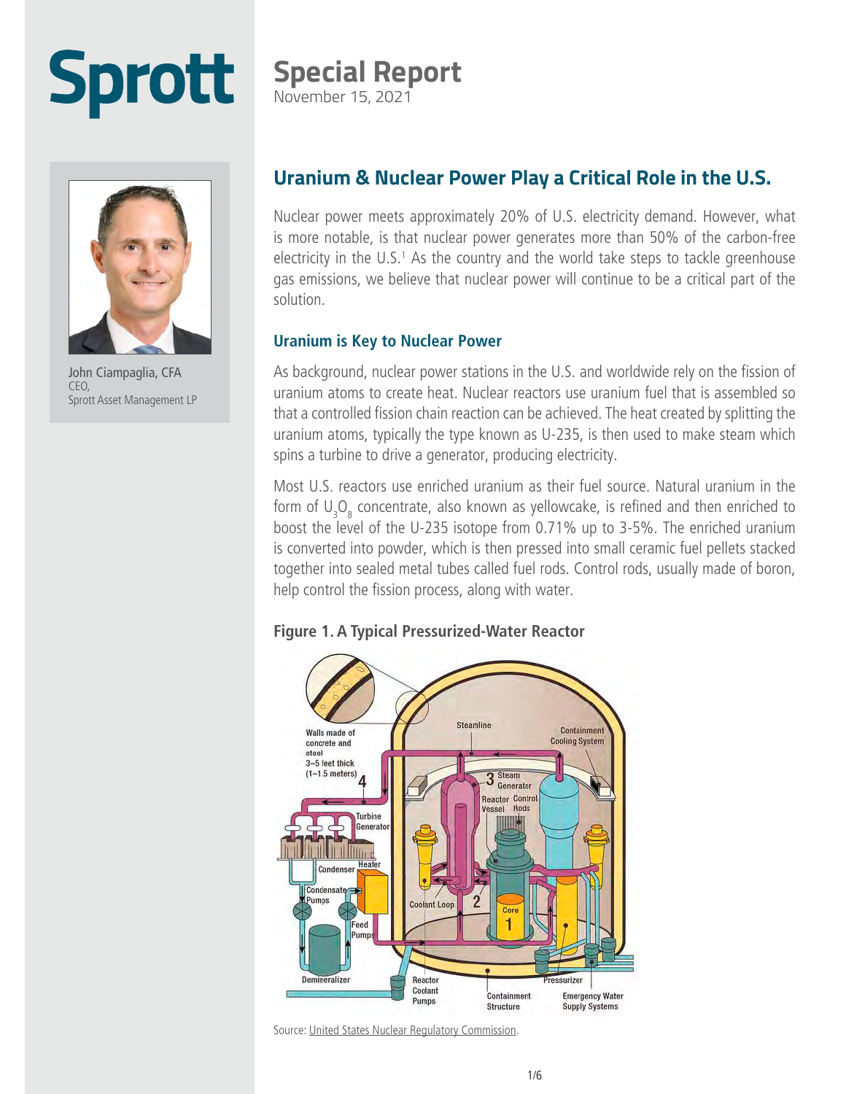# **Sprott**

### **Special Report**

November 15, 2021



John Ciampaglia, CFA CEO, Sprott Asset Management LP

#### **Uranium & Nuclear Power Play a Critical Role in the U.S.**

Nuclear power meets approximately 20% of U.S. electricity demand. However, what is more notable, is that nuclear power generates more than 50% of the carbon-free electricity in the U.S.1 As the country and the world take steps to tackle greenhouse gas emissions, we believe that nuclear power will continue to be a critical part of the solution.

#### **Uranium is Key to Nuclear Power**

As background, nuclear power stations in the U.S. and worldwide rely on the fission of uranium atoms to create heat. Nuclear reactors use uranium fuel that is assembled so that a controlled fission chain reaction can be achieved. The heat created by splitting the uranium atoms, typically the type known as U-235, is then used to make steam which spins a turbine to drive a generator, producing electricity.

Most U.S. reactors use enriched uranium as their fuel source. Natural uranium in the form of  $\mathsf{U}_\mathsf{3}\mathsf{O}_\mathsf{8}$  concentrate, also known as yellowcake, is refined and then enriched to boost the level of the U-235 isotope from 0.71% up to 3-5%. The enriched uranium is converted into powder, which is then pressed into small ceramic fuel pellets stacked together into sealed metal tubes called fuel rods. Control rods, usually made of boron, help control the fission process, along with water.





Source: [United States Nuclear Regulatory Commission.](https://www.nrc.gov/reactors/pwrs.html)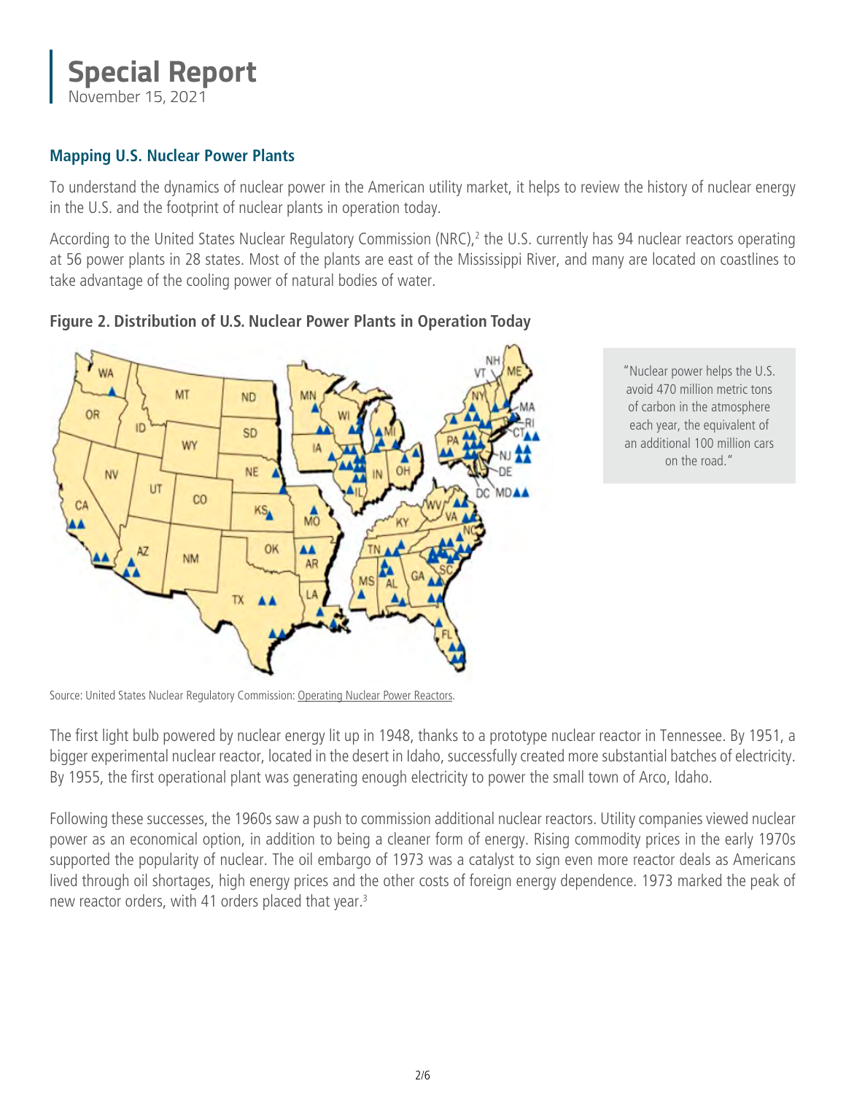#### **Special Report** November 15, 2021

**Mapping U.S. Nuclear Power Plants**

To understand the dynamics of nuclear power in the American utility market, it helps to review the history of nuclear energy in the U.S. and the footprint of nuclear plants in operation today.

According to the United States Nuclear Regulatory Commission (NRC),<sup>2</sup> the U.S. currently has 94 nuclear reactors operating at 56 power plants in 28 states. Most of the plants are east of the Mississippi River, and many are located on coastlines to take advantage of the cooling power of natural bodies of water.



**Figure 2. Distribution of U.S. Nuclear Power Plants in Operation Today**

"Nuclear power helps the U.S. avoid 470 million metric tons of carbon in the atmosphere each year, the equivalent of an additional 100 million cars on the road."

Source: United States Nuclear Regulatory Commission: [Operating Nuclear Power Reactors.](https://www.nrc.gov/info-finder/reactors/index.html)

The first light bulb powered by nuclear energy lit up in 1948, thanks to a prototype nuclear reactor in Tennessee. By 1951, a bigger experimental nuclear reactor, located in the desert in Idaho, successfully created more substantial batches of electricity. By 1955, the first operational plant was generating enough electricity to power the small town of Arco, Idaho.

Following these successes, the 1960s saw a push to commission additional nuclear reactors. Utility companies viewed nuclear power as an economical option, in addition to being a cleaner form of energy. Rising commodity prices in the early 1970s supported the popularity of nuclear. The oil embargo of 1973 was a catalyst to sign even more reactor deals as Americans lived through oil shortages, high energy prices and the other costs of foreign energy dependence. 1973 marked the peak of new reactor orders, with 41 orders placed that year.3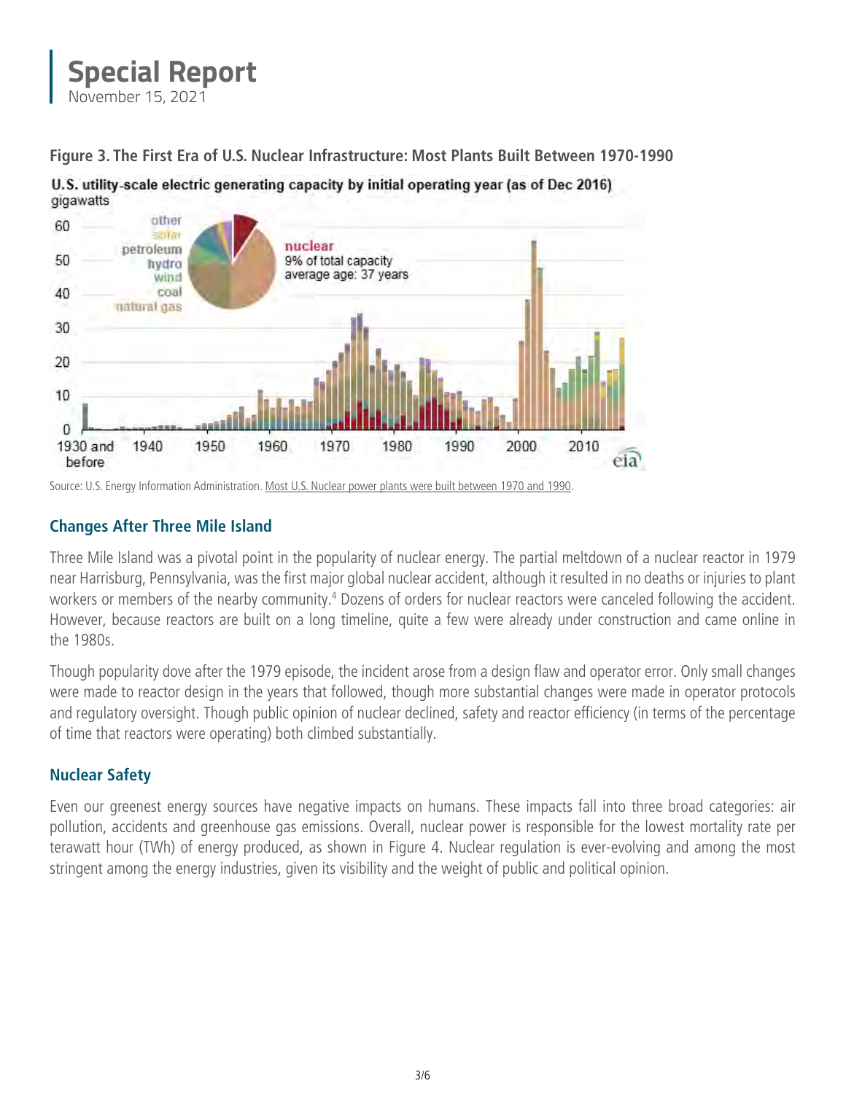

**Figure 3. The First Era of U.S. Nuclear Infrastructure: Most Plants Built Between 1970-1990**



U.S. utility-scale electric generating capacity by initial operating year (as of Dec 2016)



1970

1960

#### **Changes After Three Mile Island**

natural gas

1940

1950

30

20

10

0 1930 and

before

Three Mile Island was a pivotal point in the popularity of nuclear energy. The partial meltdown of a nuclear reactor in 1979 near Harrisburg, Pennsylvania, was the first major global nuclear accident, although it resulted in no deaths or injuries to plant workers or members of the nearby community.<sup>4</sup> Dozens of orders for nuclear reactors were canceled following the accident. However, because reactors are built on a long timeline, quite a few were already under construction and came online in the 1980s.

1980

1990

2000

2010

eia<sup>1</sup>

Though popularity dove after the 1979 episode, the incident arose from a design flaw and operator error. Only small changes were made to reactor design in the years that followed, though more substantial changes were made in operator protocols and regulatory oversight. Though public opinion of nuclear declined, safety and reactor efficiency (in terms of the percentage of time that reactors were operating) both climbed substantially.

#### **Nuclear Safety**

Even our greenest energy sources have negative impacts on humans. These impacts fall into three broad categories: air pollution, accidents and greenhouse gas emissions. Overall, nuclear power is responsible for the lowest mortality rate per terawatt hour (TWh) of energy produced, as shown in Figure 4. Nuclear regulation is ever-evolving and among the most stringent among the energy industries, given its visibility and the weight of public and political opinion.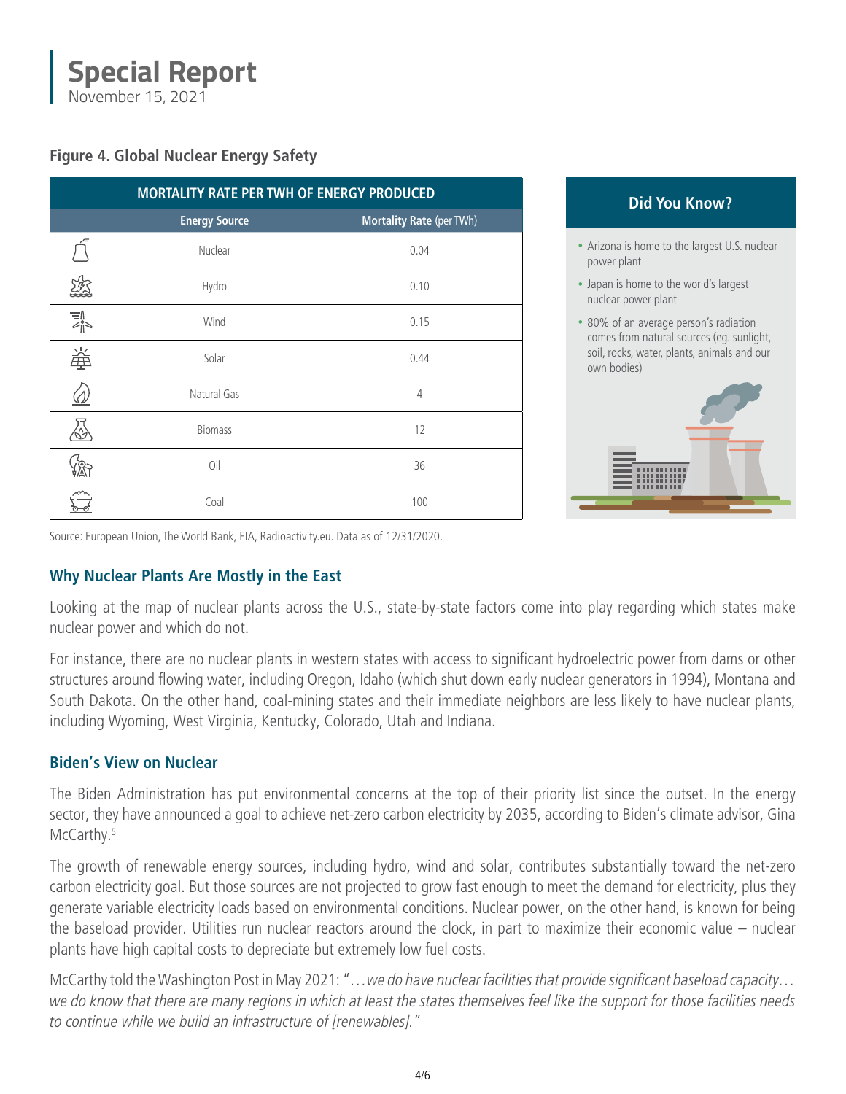#### **Special Report** November 15, 2021

**Figure 4. Global Nuclear Energy Safety**

| MORTALITY RATE PER TWH OF ENERGY PRODUCED                |                      |                                 |
|----------------------------------------------------------|----------------------|---------------------------------|
|                                                          | <b>Energy Source</b> | <b>Mortality Rate (per TWh)</b> |
|                                                          | Nuclear              | 0.04                            |
| Ą                                                        | Hydro                | 0.10                            |
| $\mathbb{E}^{\mathbb{N}^{\infty}}_{\mathbb{N}^{\infty}}$ | Wind                 | 0.15                            |
| 蚤                                                        | Solar                | 0.44                            |
|                                                          | Natural Gas          | 4                               |
|                                                          | <b>Biomass</b>       | 12                              |
|                                                          | Oil                  | 36                              |
|                                                          | Coal                 | 100                             |

#### **Did You Know?**

- Arizona is home to the largest U.S. nuclear power plant
- Japan is home to the world's largest nuclear power plant
- 80% of an average person's radiation comes from natural sources (eg. sunlight, soil, rocks, water, plants, animals and our own bodies)



Source: European Union, The World Bank, EIA, Radioactivity.eu. Data as of 12/31/2020.

#### **Why Nuclear Plants Are Mostly in the East**

Looking at the map of nuclear plants across the U.S., state-by-state factors come into play regarding which states make nuclear power and which do not.

For instance, there are no nuclear plants in western states with access to significant hydroelectric power from dams or other structures around flowing water, including Oregon, Idaho (which shut down early nuclear generators in 1994), Montana and South Dakota. On the other hand, coal-mining states and their immediate neighbors are less likely to have nuclear plants, including Wyoming, West Virginia, Kentucky, Colorado, Utah and Indiana.

#### **Biden's View on Nuclear**

The Biden Administration has put environmental concerns at the top of their priority list since the outset. In the energy sector, they have announced a goal to achieve net-zero carbon electricity by 2035, according to Biden's climate advisor, Gina McCarthy.<sup>5</sup>

The growth of renewable energy sources, including hydro, wind and solar, contributes substantially toward the net-zero carbon electricity goal. But those sources are not projected to grow fast enough to meet the demand for electricity, plus they generate variable electricity loads based on environmental conditions. Nuclear power, on the other hand, is known for being the baseload provider. Utilities run nuclear reactors around the clock, in part to maximize their economic value – nuclear plants have high capital costs to depreciate but extremely low fuel costs.

McCarthy told the Washington Post in May 2021: "*…we do have nuclear facilities that provide significant baseload capacity… we do know that there are many regions in which at least the states themselves feel like the support for those facilities needs to continue while we build an infrastructure of [renewables].*"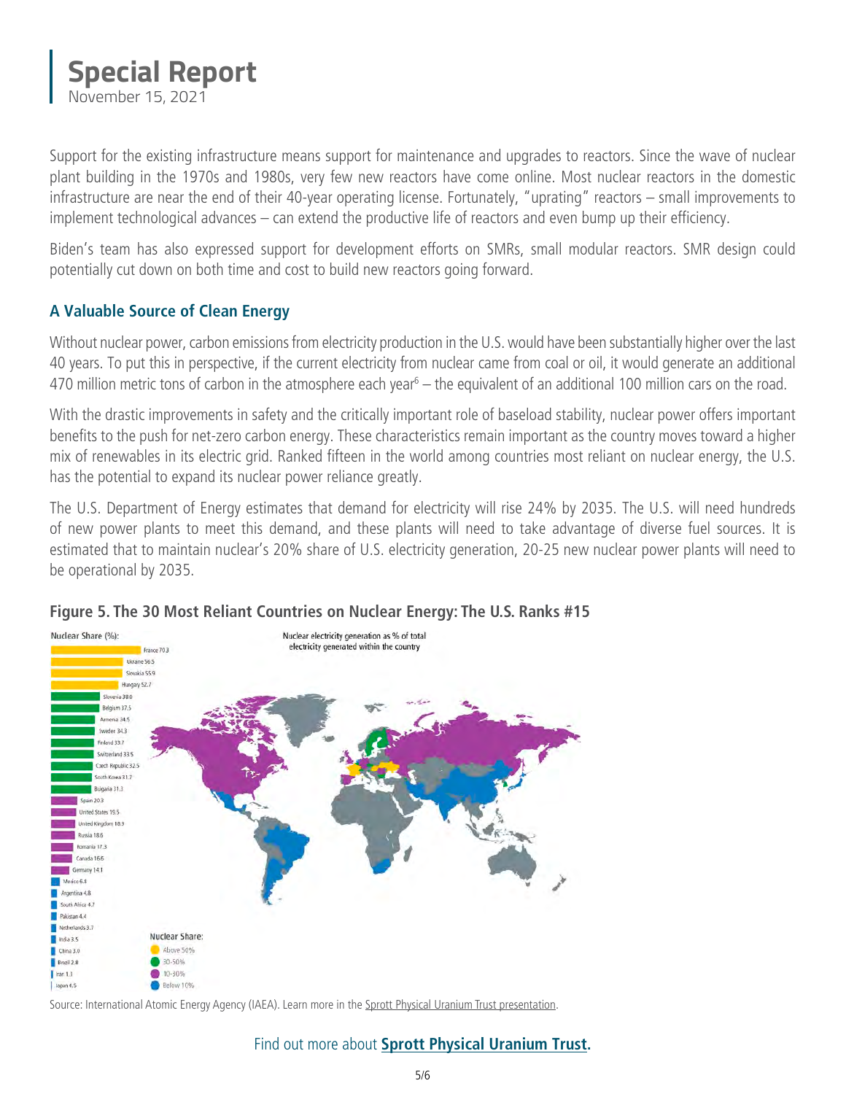

Support for the existing infrastructure means support for maintenance and upgrades to reactors. Since the wave of nuclear plant building in the 1970s and 1980s, very few new reactors have come online. Most nuclear reactors in the domestic infrastructure are near the end of their 40-year operating license. Fortunately, "uprating" reactors – small improvements to implement technological advances – can extend the productive life of reactors and even bump up their efficiency.

Biden's team has also expressed support for development efforts on SMRs, small modular reactors. SMR design could potentially cut down on both time and cost to build new reactors going forward.

#### **A Valuable Source of Clean Energy**

Without nuclear power, carbon emissions from electricity production in the U.S. would have been substantially higher over the last 40 years. To put this in perspective, if the current electricity from nuclear came from coal or oil, it would generate an additional 470 million metric tons of carbon in the atmosphere each year<sup>6</sup> — the equivalent of an additional 100 million cars on the road.

With the drastic improvements in safety and the critically important role of baseload stability, nuclear power offers important benefits to the push for net-zero carbon energy. These characteristics remain important as the country moves toward a higher mix of renewables in its electric grid. Ranked fifteen in the world among countries most reliant on nuclear energy, the U.S. has the potential to expand its nuclear power reliance greatly.

The U.S. Department of Energy estimates that demand for electricity will rise 24% by 2035. The U.S. will need hundreds of new power plants to meet this demand, and these plants will need to take advantage of diverse fuel sources. It is estimated that to maintain nuclear's 20% share of U.S. electricity generation, 20-25 new nuclear power plants will need to be operational by 2035.



#### **Figure 5. The 30 Most Reliant Countries on Nuclear Energy: The U.S. Ranks #15**

Source: International Atomic Energy Agency (IAEA). Learn more in the [Sprott Physical Uranium Trust presentation.](https://sprott.com/media/4119/uranium-trust-presentation-deck.pdf)

#### Find out more about **[Sprott Physical Uranium Trust.](https://sprott.com/investment-strategies/physical-commodity-funds/uranium/)**